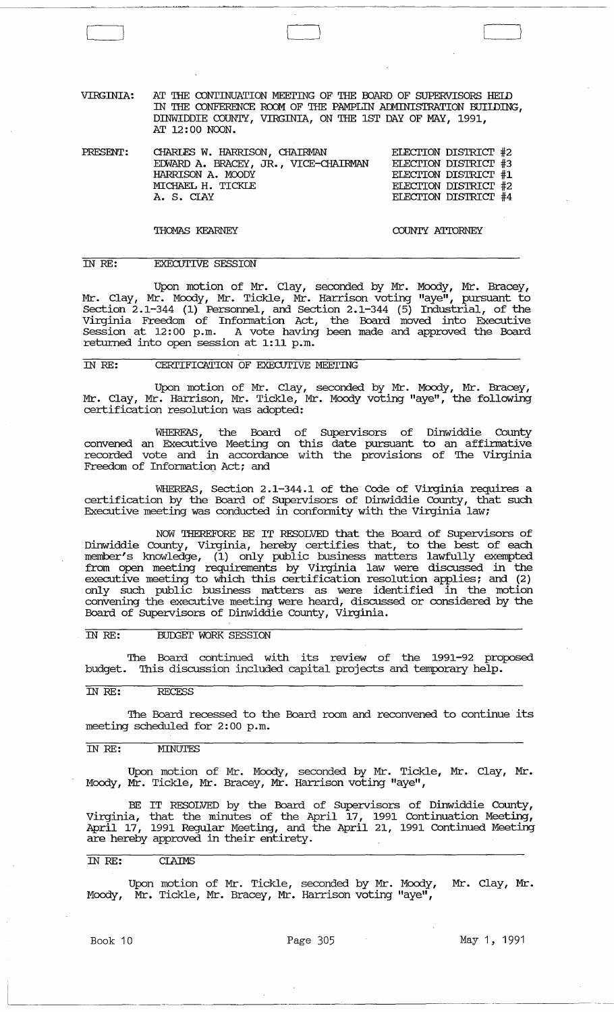VIRGINIA: AT THE CONTINUATION MEETING OF THE BOARD OF SUPERVISORS HEID IN THE CONFERENCE ROOM OF THE PAMPLIN ADMINISTRATION BUILDING, DINWIDDIE COUNTY, VIRGINIA, ON THE 1ST DAY OF MAY, 1991, AT 12:00 NOON.

PRESENT: CHARIFS W. HARRISON, CHAIRMAN EDWARD A. BRACEY, JR., VICE-CHAIRMAN HARRISON A. MOODY MICHAEL H. TICKLE A. S. CIAY ELECrION DISTRIcr #2 ELECTION DISTRICT #3 ELECrION DISTRIcr #1 ELECrION DISTRIcr #2 ELEcrION DISTRIcr #4

'IHOMAS KEARNEY

COUNTY ATIORNEY

#### IN *RE:*  EXECUTIVE SESSION

[

Upon motion of Mr. Clay, seconded by Mr. Moody, Mr. Bracey, Mr. Clay, Mr. Moody, Mr. Tickle, Mr. Harrison voting "aye", pursuant to Section 2.1-344 (1) Personnel, and section 2.1-344 (5) Industrial, of the Virginia Freedom of Information Act, the Board moved into Executive Session at 12:00 p.m. A vote having been made and approved the Board returned into open session at 1:11 p.m.

## IN RE: **CERTIFICATION OF EXECUTIVE MEETING**

Upon motion of Mr. Clay, seconded by Mr. Moody, Mr. Bracey, Mr. Clay, Mr. Harrison, Mr. Tickle, Mr. Moody voting "aye", the following certification resolution was adopted:

WHEREAS, the Board of supervisors of Dinwiddie County convened an Executive Meeting on this date pursuant to an affirmative recorded vote and in accordance with the provisions of The virginia Freedom of Information Act; and

WHEREAS, Section 2.1-344.1 of the Code of Virginia requires a certification by the Board of supervisors of Dinwiddie County, that such Executive meeting was conducted in conformity with the Virginia law;

NOW 'lliEREFDRE BE IT RESOLVED that the Board of supervisors of Dinwiddie County, Virginia, hereby certifies that, to the best of each member's knowledge, (1) only public business matters lawfully exempted from open meeting requirements by Virginia law were discussed in the executive meeting to which this certification resolution applies; and (2) only such public business matters as were identified in the motion convening the executive meeting were heard, discussed or considered by the Board of Supervisors of Dinwiddie County, Virginia.

IN RE: **BUIGET WORK SESSION** 

The Board continued with its review of the 1991-92 proposed budget. This discussion included capital projects and temporary help.

## IN *RE:* RECESS

The Board recessed to the Board room and reconvened to continue its meeting scheduled for 2:00 p.m.

# IN *RE:* MINUTES

Upon motion of Mr. Moody, seconded by Mr. Tickle, Mr. Clay, Mr. Moody, Mr. Tickle, Mr. Bracey, Mr. Harrison voting "aye",

BE IT RESOLVED by the Board of Supervisors of Dinwiddie County, Virginia, that the minutes of the April 17, 1991 Continuation Meeting, April 17, 1991 Regular Meeting, and the April 21, 1991 Continued Meeting are hereby approved in their entirety.

# IN *RE:* CIAIMS

Upon motion of Mr. Tickle, seconded by Mr. Moody, Mr. Clay, Mr. Moody, Mr. Tickle, Mr. Bracey, Mr. Harrison voting "aye",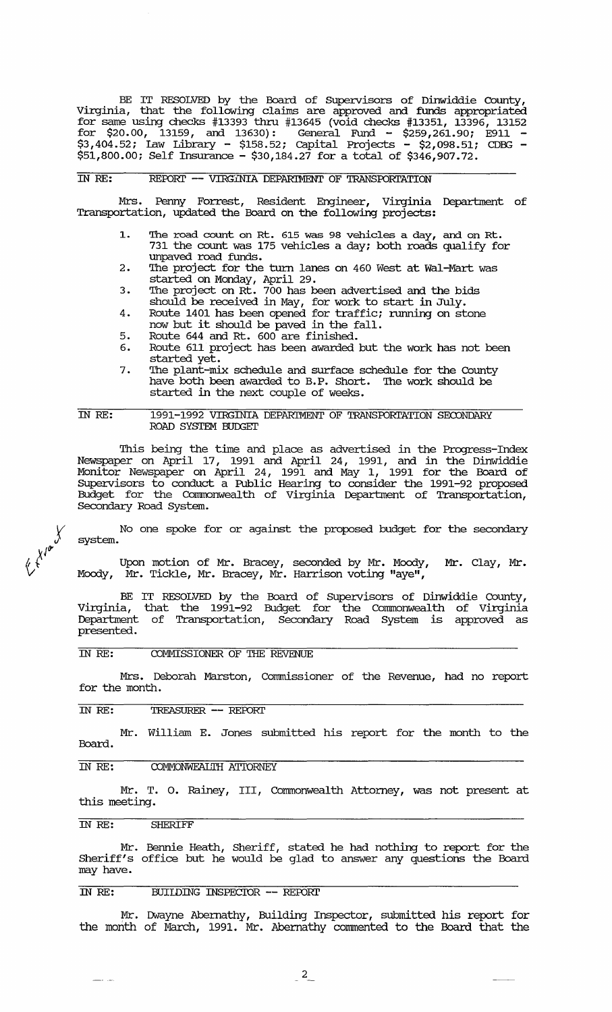BE IT RESOLVED by the Board of SUpervisors of Dinwiddie County, Virginia, that the following claims are approved and funds appropriated for same using checks #13393 thru #13645 (void checks #13351, 13396, 13152 for \$20.00, 13159, and 13630): General Fund - \$259,261.90; E911 - \$3,404.52; law Library - \$158.52; capital Projects - \$2,098.51; CDEG - \$51,800.00; Self Insurance - \$30,184.27 for a total of \$346,907.72.

# IN RE: REPORT -- VIRGINIA DEPARIMENT OF TRANSPORTATION

Mrs. Penny Forrest, Resident Engineer, Virginia Department of Transportation, updated the Board on the following projects:

- 1. The road count on Rt. 615 was 98 vehicles a day, and on Rt. 731 the count was 175 vehicles a day; both roads qualify for unpaved road funds.
- 2. The project for the turn lanes on 460 West at Wal-Mart was started on Monday, April 29.
- 3. The project on Rt. 700 has been advertised and the bids should be received in May, for work to start in July.
- 4. Route 1401 has been opened for traffic; running on stone now but it should be paved in the fall.
- 5. Route 644 and Rt. 600 are finished.
- 6. Route 611 project has been awarded but the work has not been started yet.
- 7. The plant-mix schedule and surface schedule for the County have both been awarded to B.P. Short. The work should be started in the next couple of weeks.

#### IN RE: 1991-1992 VIRGINIA DEPARIMENT OF TRANSPORTATION SECONDARY ROAD SYSTEM BUDGET

This being the time and place as advertised in the Progress-Index Newspaper on April 17, 1991 and April 24, 1991, and in the Dinwiddie Monitor Newspaper on April 24, 1991 and May 1, 1991 for the Board of SUpervisors to conduct a Public Hearing to consider the 1991-92 proposed Budget for the Commonwealth of Virginia Department of Transportation, Secondary Road System.

No one spoke for or against the proposed budget for the secondary system.

Upon motion of Mr. Bracey, seconded by Mr. Moody, Mr. Clay, Mr. Moody, Mr. Tickle, Mr. Bracey, Mr. Harrison voting "aye",

BE IT RESOLVED by the Board of SUpervisors of Dinwiddie County, Virginia, that the 1991-92 Budget for the Commonwealth of Virginia Deparbnent of Transportation, Secondary Road System is approved as presented.

IN RE: COMMISSIONER OF THE REVENUE

Mrs. Deborah Marston, Commissioner of the Revenue, had no report for the month.

#### IN RE: TREASURER **--** REIDRl'

Mr. William E. Jones submitted his report for the month to the Board.

# IN RE: COMMONWEAL'IH ATIDRNEY

Mr. T. o. Rainey, III, Commonwealth Attorney, was not present at this meeting.

### IN RE: SHERIFF

v~

*:x 111'*  ty

Mr. Bennie Heath, Sheriff, stated he had nothing to report for the Sheriff's office but he would be glad to answer any questions the Board may have.

# IN RE: BUIIDING INSPECIOR **--** REIDRl'

Mr. Dwayne Abernathy, Building Inspector, submitted his report for the month of March, 1991. Mr. Abernathy commented to the Board that the

 $\frac{2}{1}$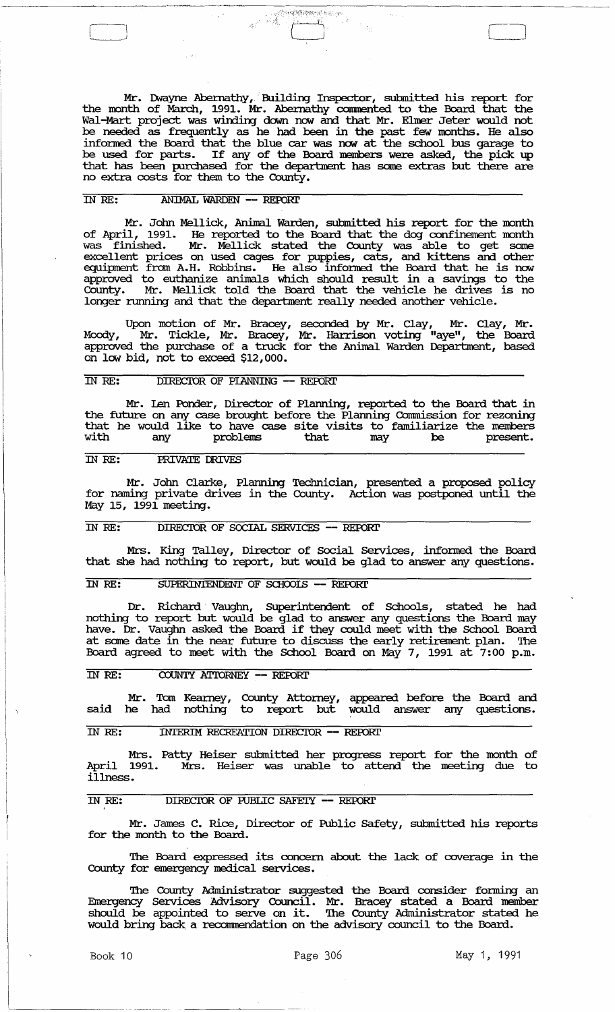Mr. Dwayne Abernathy, Building Inspector, submitted his report for the month of March, 1991. Mr. Abernathy commented to the Board that the Wal-Mart project was winding down now and that Mr. Elmer Jeter would not be needed as frequently as he had been in the past few months. He also informed the Board that the blue car was now at the school bus garage to be used for parts. If any of the Board members were asked, the pick up that has been purchased for the department has some extras but there are no extra costs for them to the County.

.~ ,

## IN RE: ANIMAL WARDEN - REroRI'

Mr. John Mellick, Animal Warden, submitted his report for the month of April, 1991. He reported to the Board that the dog confinement month was finished. Mr. Mellick stated the County was able to get same excellent prices on used cages for puppies, cats, and kittens and other equipment from A.H. Robbins. He also informed the Board that he is now approved to euthanize animals which should result in a savings to the County. Mr. Mellick told the Board that the vehicle he drives is no longer running and that the department really needed another vehicle.

Upon motion of Mr. Bracey, seconded by Mr. Clay, Mr. Clay, Mr. Moody, Mr. Tickle, Mr. Bracey, Mr. Harrison voting "aye", the Board approved the purchase of a truck for the Animal Warden Department, based on low bid, not to exceed \$12,000.

# IN RE: DIRECTOR OF PLANNING -- REPORT

Mr. Len Ponder, Director of Planning, reported to the Board that in the future on any case brought before the Planning Conunission for rezoning that he would like to have case site visits to familiarize the members with any problems that may be present.

#### IN RE: PRIVATE DRIVES

Mr. Jolm Clarke, Planning Teclmician, presented a proposed policy for naming private drives in the County. Action was postponed until the May 15, 1991 meeting.

#### IN RE: DIRECTOR OF SOCIAL SERVICES -- REPORT

Mrs. King Talley, Director of Social Services, infonned the Board that she had nothing to report, but would be glad to answer any questions.

#### IN RE: SUPERINTENDENT OF SCHOOLS -- REPORT

Dr. Richard Vaughn, Superintendent of Schools, stated he had nothing to report but would be glad to answer any questions the Board may have. Dr. Vaughn asked the Board if they could meet with the School Board at some date in the near future to discuss the early retirement plan. The Board agreed to meet with the School Board on May 7, 1991 at 7:00 p.m.

# IN RE: COUNTY ATTORNEY -- REPORT

Mr. Tom Kearney, County Attorney, appeared before the Board and said he had nothing to report but would answer any questions.

# IN RE: INTERIM RECREATION DIRECIOR - REroRI'

Mrs. Patty Heiser submitted her progress report for the month of April 1991. Mrs. Heiser was unable to attend the meeting due to illness.

# IN RE: DIRECTOR OF PUBLIC SAFETY -- REPORT

Mr. James C. Rice, Director of Public Safety, submitted his reports for the month to the Board.

The Board expressed its concern about the lack of coverage in the County for emergency medical services.

The County Administrator suggested the Board consider fonning an Emergency Services Advisory Council. Mr. Bracey stated a Board member should be appointed to serve on it. The County Administrator stated he would bring back a recommendation on the advisory council to the Board.

l \_\_\_\_\_\_\_\_\_ ~

i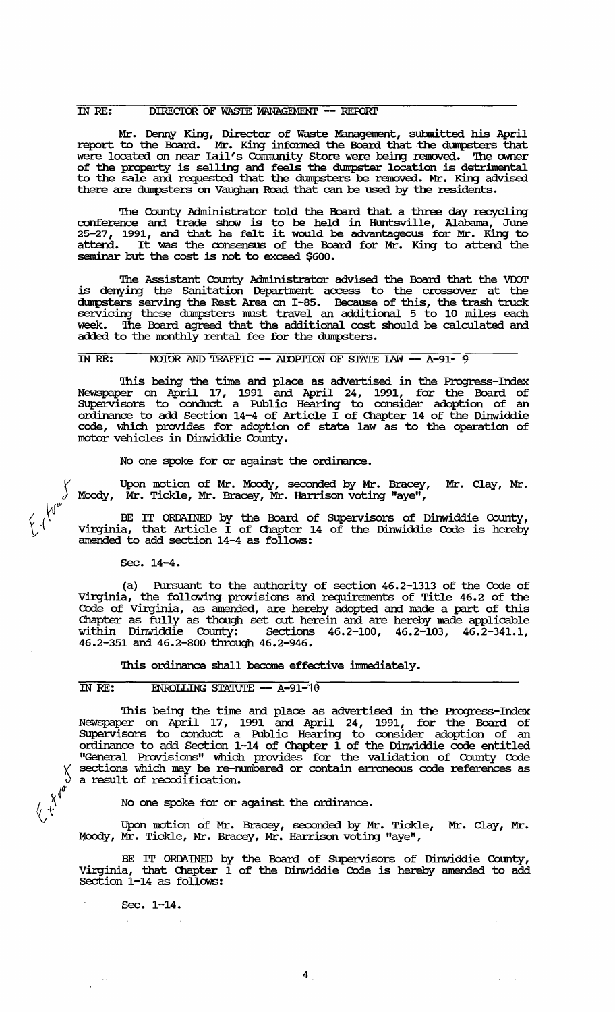#### IN RE: DIRECTOR OF WASTE MANAGEMENT -- REPORT

Mr. Denny King, Director of Waste Management, submitted his April report to the Board. Mr. King informed the Board that the dumpsters that were located on near Iail's Community Store were being removed. The owner of the property is selling and feels the dumpster location is detrimental to the sale and requested that the dumpsters be removed. Mr. King advised there are dumpsters on Vaughan Road that can be used by the residents.

The County Administrator told the Board that a three day recycling conference am trade show is to be held in Huntsville, Alabama, June 25-27, 1991, and that he fel.t it would be advantageous for Mr. King to attend. It was the consensus of the Board for Mr. King to attend the seminar but the cost is not to exceed \$600.

The Assistant County Administrator advised the Board that the VDOT is denying the Sanitation Department access to the crossover at the dumpsters serving the Rest Area on I-85. Because of this, the trash truck servicing these dumpsters must travel an additional 5 to 10 miles each The Board agreed that the additional cost should be calculated and added to the monthly rental fee for the dumpsters.

# IN RE: MOTOR AND TRAFFIC  $-$  ADOPTION OF STATE LAW  $-$  A-91- 9

This being the time and place as advertised in the Progress-Index Newspaper on April 17, 1991 and April 24, 1991, for the Board of SUpervisors to conduct a Public Hearing to consider adoption of an ordinance to add Section 14-4 of Article I of Chapter 14 of the Dinwiddie code, which provides for adoption of state law as to the operation of motor vehicles in Dinwiddie County.

No one spoke for or against the ordinance.

r Moody, Mr. Tickle, Mr. Bracey, Mr. Harrison voting "aye", Upon motion of Mr. Moody, seconded by Mr. Bracey, Mr. Clay, Mr.

W"  $\gamma_{\mathcal{A}}^{\mathcal{A}}$  $\triangleright$ 

 $\langle \mathcal{L}, \mathcal{L} \rangle$ 

BE IT ORDAINED by the Board of Supervisors of Dinwiddie County, Virginia, that Article I of Chapter 14 of the Dinwiddie Code is hereby amended to add section 14-4 as follows:

Sec. 14-4.

(a) Pursuant to the authority of section 46.2-1313 of the Code of Virginia, the following provisions and requirements of Title 46.2 of the Code of Virginia, as amended, are hereby adopted and made a part of this Chapter as fully as though set out herein and are hereby made applicable within Dinwiddie County: sections 46.2-100, 46.2-103, 46.2-341.1, 46.2-351 and 46.2-800 through 46.2-946.

This ordinance shall become effective immediately.

# IN RE: ENROLLING STATUTE -- A-91-10

 $\sigma$ This being the time and place as advertised in the Progress-Index Newspaper on April 17, 1991 and April 24, 1991, for the Board of SUpenrisors to conduct a Public Hearing to consider adoption of an ordinance to add Section 1-14 of Chapter 1 of the Dinwiddie code entitled "General Provisions" which provides for the validation of County Code sections which may be re-numbered or contain erroneous code references as a result of recodification.

No one spoke for or against the ordinance.

Upon motion of Mr. Bracey, seconded by Mr. Tickle, Mr. Clay, Mr. Moody, Mr. Tickle, Mr. Bracey, Mr. Harrison voting "aye",

BE IT ORDAINED by the Board of Supervisors of Dinwiddie County, Virginia, that Chapter 1 of the Dinwiddie Code is hereby amended to add Section 1-14 as follows:

Sec. 1-14.

 $\bar{\omega}$  $\sim$   $\sim$